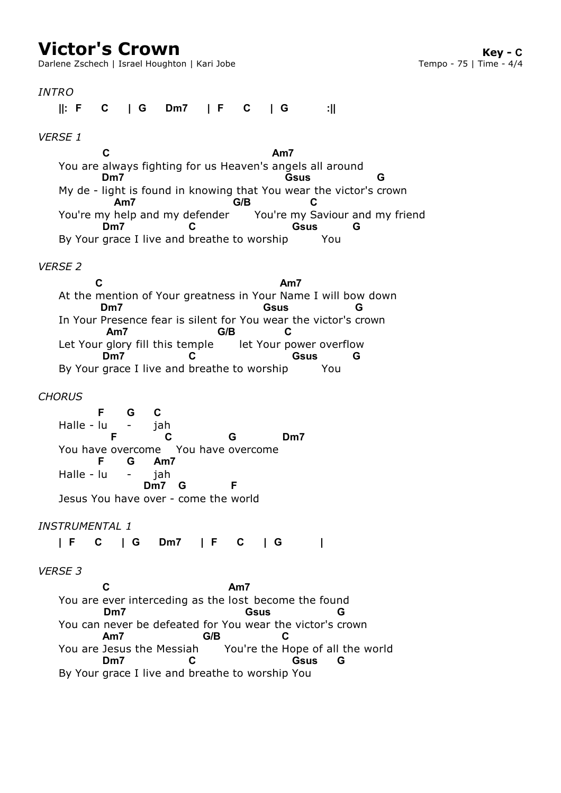Darlene Zschech | Israel Houghton | Kari Jobe

*INTRO VERSE 1* You are always fighting for us Heaven's angels all around My de - light is found in knowing that You wear the victor's crown You're my help and my defender The You're my Saviour and my friend By Your grace I live and breathe to worship You *VERSE 2* At the mention of Your greatness in Your Name I will bow down In Your Presence fear is silent for You wear the victor's crown Let Your glory fill this temple let Your power overflow By Your grace I live and breathe to worship You *CHORUS* Halle - lu You have overcome You have overcome Halle - lu Jesus You have over - come the world *INSTRUMENTAL 1* IF C IG *VERSE 3* You are ever interceding as the lost become the found You can never be defeated for You wear the victor's crown You are Jesus the Messiah You're the Hope of all the world By Your grace I live and breathe to worship You **||: F C | G Dm7 | F C | G :|| C Am7 Dm7 Gsus G Am7 G/B C Dm7 C Gsus G C Am7 Dm7 Gsus G Am7 G/B C Dm7 C Gsus G F** - **G** jah **C F C G Dm7 F** - **G** jah **Am7 Dm7 G F | F C | G Dm7 | F C | G | C Am7 Dm7 Gsus G** You are Jesus the Messiah **Am7 G/B C Dm7 C Gsus G**